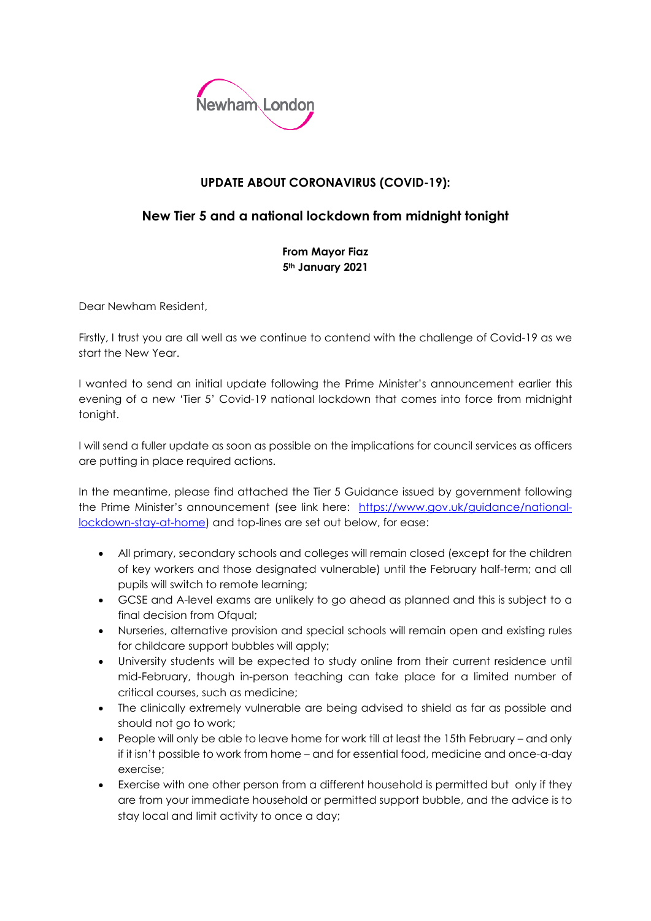

## **UPDATE ABOUT CORONAVIRUS (COVID-19):**

## **New Tier 5 and a national lockdown from midnight tonight**

**From Mayor Fiaz 5th January 2021**

Dear Newham Resident,

Firstly, I trust you are all well as we continue to contend with the challenge of Covid-19 as we start the New Year.

I wanted to send an initial update following the Prime Minister's announcement earlier this evening of a new 'Tier 5' Covid-19 national lockdown that comes into force from midnight tonight.

I will send a fuller update as soon as possible on the implications for council services as officers are putting in place required actions.

In the meantime, please find attached the Tier 5 Guidance issued by government following the Prime Minister's announcement (see link here: [https://www.gov.uk/guidance/national](https://www.gov.uk/guidance/national-lockdown-stay-at-home)[lockdown-stay-at-home\)](https://www.gov.uk/guidance/national-lockdown-stay-at-home) and top-lines are set out below, for ease:

- All primary, secondary schools and colleges will remain closed (except for the children of key workers and those designated vulnerable) until the February half-term; and all pupils will switch to remote learning;
- GCSE and A-level exams are unlikely to go ahead as planned and this is subject to a final decision from Ofqual;
- Nurseries, alternative provision and special schools will remain open and existing rules for childcare support bubbles will apply;
- University students will be expected to study online from their current residence until mid-February, though in-person teaching can take place for a limited number of critical courses, such as medicine;
- The clinically extremely vulnerable are being advised to shield as far as possible and should not go to work;
- People will only be able to leave home for work till at least the 15th February and only if it isn't possible to work from home – and for essential food, medicine and once-a-day exercise;
- Exercise with one other person from a different household is permitted but only if they are from your immediate household or permitted support bubble, and the advice is to stay local and limit activity to once a day;